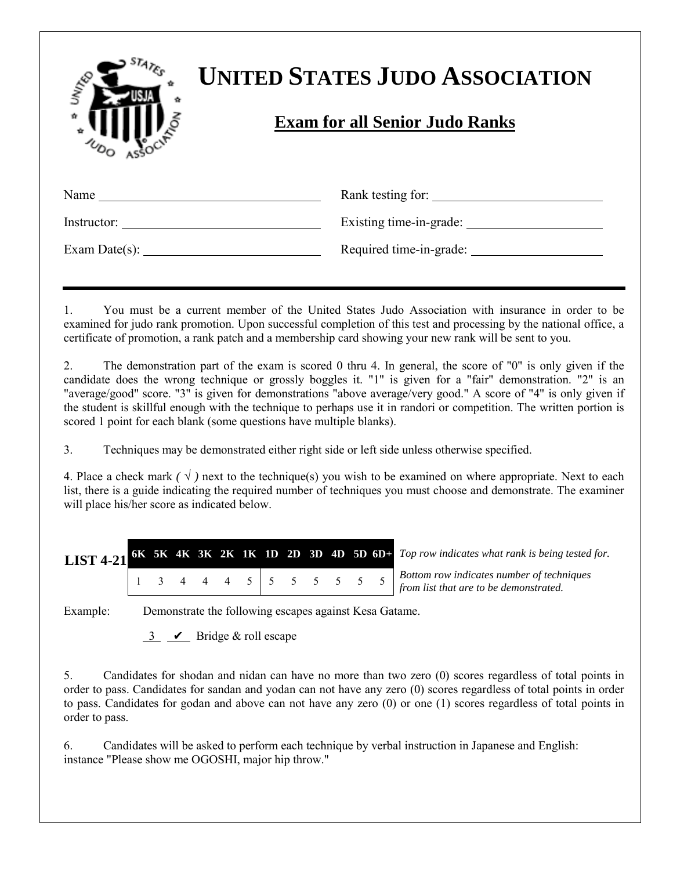| UNITED      | <b>UNITED STATES JUDO ASSOCIATION</b><br><b>Exam for all Senior Judo Ranks</b> |
|-------------|--------------------------------------------------------------------------------|
| Name        | Rank testing for:                                                              |
| Instructor: | Existing time-in-grade:                                                        |

1. You must be a current member of the United States Judo Association with insurance in order to be examined for judo rank promotion. Upon successful completion of this test and processing by the national office, a certificate of promotion, a rank patch and a membership card showing your new rank will be sent to you.

2. The demonstration part of the exam is scored 0 thru 4. In general, the score of "0" is only given if the candidate does the wrong technique or grossly boggles it. "1" is given for a "fair" demonstration. "2" is an "average/good" score. "3" is given for demonstrations "above average/very good." A score of "4" is only given if the student is skillful enough with the technique to perhaps use it in randori or competition. The written portion is scored 1 point for each blank (some questions have multiple blanks).

3. Techniques may be demonstrated either right side or left side unless otherwise specified.

Exam Date(s): Required time-in-grade:

4. Place a check mark  $(\sqrt{})$  next to the technique(s) you wish to be examined on where appropriate. Next to each list, there is a guide indicating the required number of techniques you must choose and demonstrate. The examiner will place his/her score as indicated below.

**LIST 4-21 6K 5K 4K 3K 2K 1K 1D 2D 3D 4D 5D 6D+** *Top row indicates what rank is being tested for.*

<sup>134445555555</sup> *Bottom row indicates number of techniques from list that are to be demonstrated.*

Example: Demonstrate the following escapes against Kesa Gatame.

 $\frac{3}{2}$   $\sqrt{2}$  Bridge & roll escape

5. Candidates for shodan and nidan can have no more than two zero (0) scores regardless of total points in order to pass. Candidates for sandan and yodan can not have any zero (0) scores regardless of total points in order to pass. Candidates for godan and above can not have any zero (0) or one (1) scores regardless of total points in order to pass.

6. Candidates will be asked to perform each technique by verbal instruction in Japanese and English: instance "Please show me OGOSHI, major hip throw."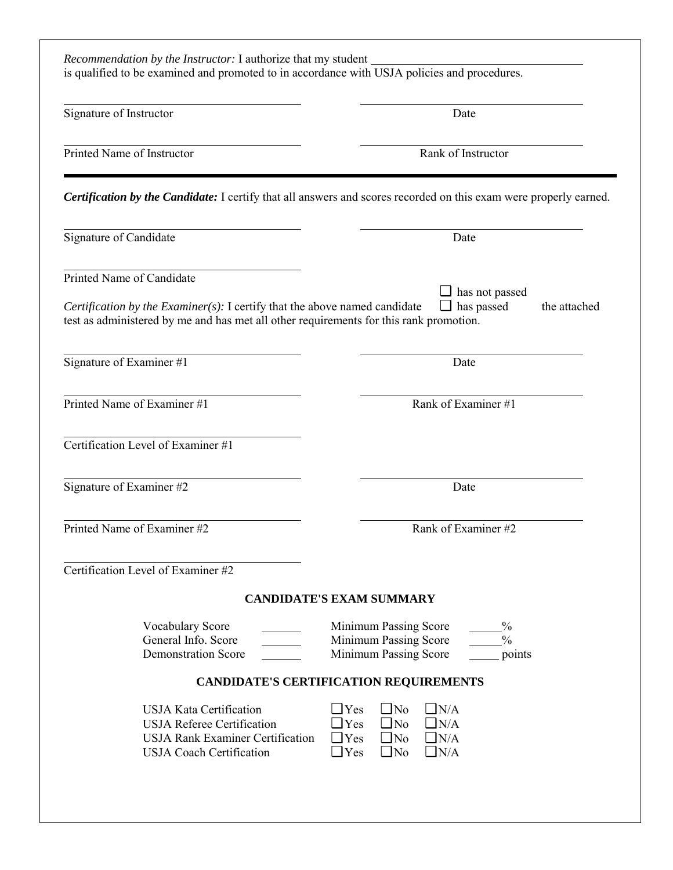| Signature of Instructor                                                                                                                           | Date                                                                                                                                                             |
|---------------------------------------------------------------------------------------------------------------------------------------------------|------------------------------------------------------------------------------------------------------------------------------------------------------------------|
| Printed Name of Instructor                                                                                                                        | Rank of Instructor                                                                                                                                               |
|                                                                                                                                                   | Certification by the Candidate: I certify that all answers and scores recorded on this exam were properly earned.                                                |
| Signature of Candidate                                                                                                                            | Date                                                                                                                                                             |
| Printed Name of Candidate<br>Certification by the Examiner(s): I certify that the above named candidate                                           | $\Box$ has not passed<br>$\Box$ has passed<br>the attached                                                                                                       |
| test as administered by me and has met all other requirements for this rank promotion.                                                            |                                                                                                                                                                  |
| Signature of Examiner #1                                                                                                                          | Date                                                                                                                                                             |
| Printed Name of Examiner #1                                                                                                                       | Rank of Examiner #1                                                                                                                                              |
| Certification Level of Examiner #1                                                                                                                |                                                                                                                                                                  |
| Signature of Examiner #2                                                                                                                          | Date                                                                                                                                                             |
| Printed Name of Examiner #2                                                                                                                       | Rank of Examiner #2                                                                                                                                              |
| Certification Level of Examiner #2                                                                                                                |                                                                                                                                                                  |
|                                                                                                                                                   | <b>CANDIDATE'S EXAM SUMMARY</b>                                                                                                                                  |
| <b>Vocabulary Score</b><br>General Info. Score<br><b>Demonstration Score</b>                                                                      | $\frac{0}{0}$<br>Minimum Passing Score<br>$\frac{0}{0}$<br>Minimum Passing Score<br>Minimum Passing Score<br>points                                              |
|                                                                                                                                                   | <b>CANDIDATE'S CERTIFICATION REQUIREMENTS</b>                                                                                                                    |
| <b>USJA Kata Certification</b><br><b>USJA Referee Certification</b><br><b>USJA Rank Examiner Certification</b><br><b>USJA Coach Certification</b> | $\Box$ No<br>$\Box$ N/A<br>$\Box$ Yes<br>$\Box$ Yes<br>$\Box$ No<br>$\Box$ N/A<br>$\Box$ N/A<br>$\Box$ No<br>$\Box$ Yes<br>$\Box$ N/A<br>$\Box$ No<br>$\Box$ Yes |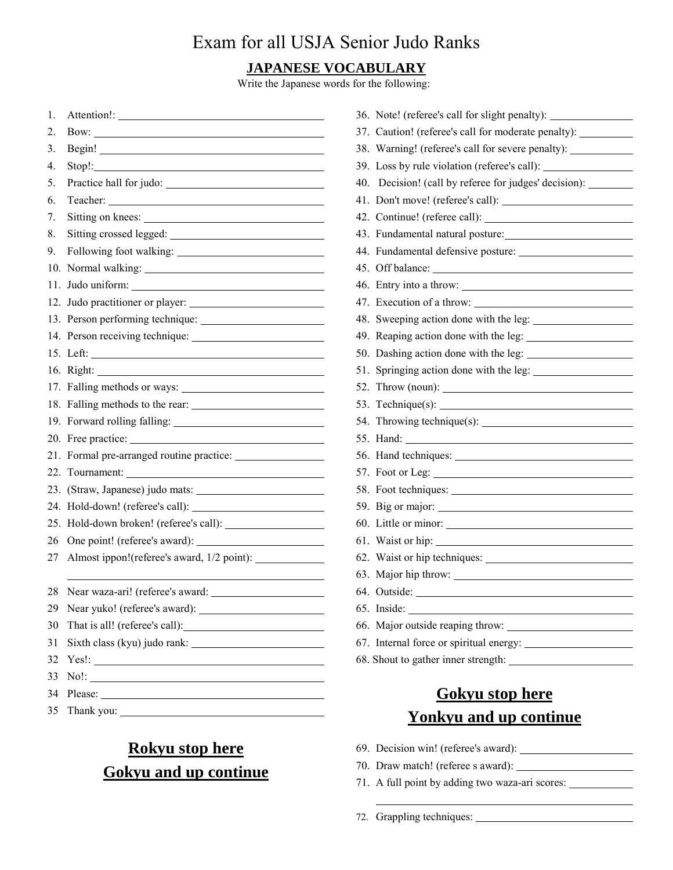#### **JAPANESE VOCABULARY**

Write the Japanese words for the following:

| 1.  | Attention!:                      |
|-----|----------------------------------|
| 2.  |                                  |
| 3.  |                                  |
| 4.  | $Stop!$ :                        |
| 5.  |                                  |
| 6.  |                                  |
| 7.  | Sitting on knees:                |
| 8.  |                                  |
| 9.  |                                  |
| 10. |                                  |
| 11. |                                  |
|     | 12. Judo practitioner or player: |
|     |                                  |
|     |                                  |
|     |                                  |
|     |                                  |
|     | 17. Falling methods or ways:     |
|     |                                  |
|     |                                  |
|     |                                  |
|     |                                  |
|     | 22. Tournament:                  |
|     |                                  |
|     | 24. Hold-down! (referee's call): |
|     |                                  |
| 26  |                                  |
| 27  |                                  |
|     |                                  |
| 28  | Near waza-ari! (referee's award: |
| 29  |                                  |
| 30  |                                  |
| 31  | Sixth class (kyu) judo rank:     |
| 32  |                                  |
| 33  | $No!$ :                          |
| 34  |                                  |
| 35  |                                  |

## **Rokyu stop here Gokyu and up continue**

| 36. Note! (referee's call for slight penalty):                                   |
|----------------------------------------------------------------------------------|
| 37. Caution! (referee's call for moderate penalty): _____                        |
| 38. Warning! (referee's call for severe penalty): ______________________________ |
| 39. Loss by rule violation (referee's call):                                     |
| 40. Decision! (call by referee for judges' decision): ________                   |
|                                                                                  |
|                                                                                  |
| 43. Fundamental natural posture:                                                 |
|                                                                                  |
|                                                                                  |
| 46. Entry into a throw:                                                          |
|                                                                                  |
|                                                                                  |
|                                                                                  |
| 50. Dashing action done with the leg:                                            |
|                                                                                  |
|                                                                                  |
|                                                                                  |
|                                                                                  |
|                                                                                  |
|                                                                                  |
|                                                                                  |
| 58. Foot techniques:                                                             |
|                                                                                  |
|                                                                                  |
|                                                                                  |
|                                                                                  |
| 63. Major hip throw:                                                             |
|                                                                                  |
| $65.$ Inside: $\_\_$                                                             |
| 66. Major outside reaping throw:                                                 |
| 67. Internal force or spiritual energy:                                          |
|                                                                                  |
|                                                                                  |

## **Gokyu stop here Yonkyu and up continue**

- 69. Decision win! (referee's award):
- 70. Draw match! (referee s award):
- 71. A full point by adding two waza-ari scores:

72. Grappling techniques:

l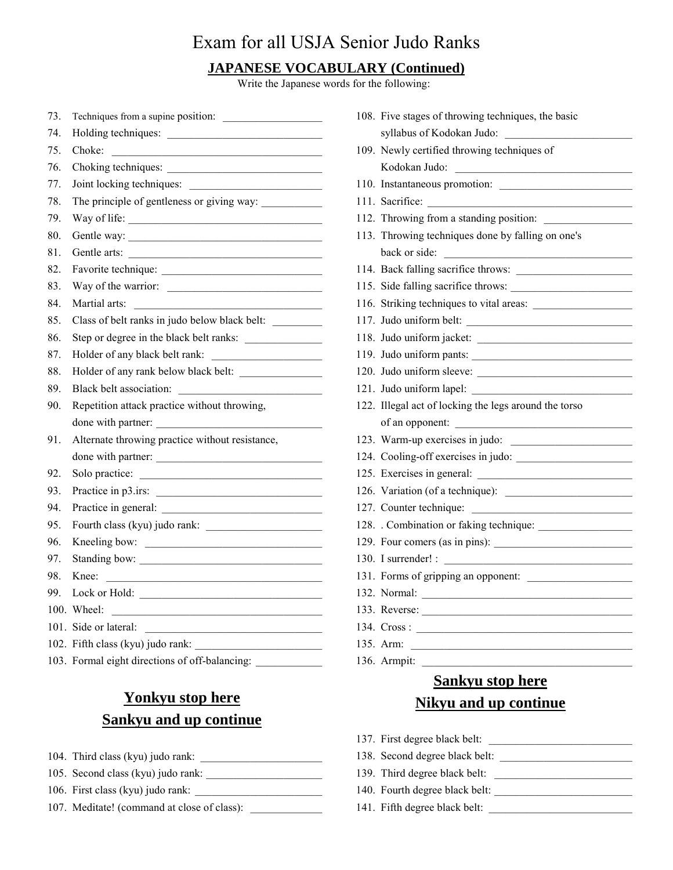#### **JAPANESE VOCABULARY (Continued)**

Write the Japanese words for the following:

| 73. | Techniques from a supine position:                                                                                                              |
|-----|-------------------------------------------------------------------------------------------------------------------------------------------------|
| 74. |                                                                                                                                                 |
| 75. | Choke:<br><u> Alexandria de la contrada de la contrada de la contrada de la contrada de la contrada de la contrada de la c</u>                  |
| 76. |                                                                                                                                                 |
| 77. | Joint locking techniques:                                                                                                                       |
| 78. |                                                                                                                                                 |
| 79. | Way of life:                                                                                                                                    |
| 80. |                                                                                                                                                 |
| 81. | Gentle arts:                                                                                                                                    |
| 82. |                                                                                                                                                 |
| 83. | Way of the warrior:                                                                                                                             |
| 84. | Martial arts:<br><u> 1989 - Johann Barn, mars eta bainar eta idazlea (</u>                                                                      |
| 85. | Class of belt ranks in judo below black belt:                                                                                                   |
| 86. | Step or degree in the black belt ranks:                                                                                                         |
| 87. | Holder of any black belt rank:                                                                                                                  |
| 88. |                                                                                                                                                 |
| 89. | Black belt association:<br><u> Alexandria de la contenentación de la contenentación de la contenentación de la contenentación de la contene</u> |
| 90. | Repetition attack practice without throwing,                                                                                                    |
|     | done with partner:                                                                                                                              |
| 91. | Alternate throwing practice without resistance,                                                                                                 |
|     | done with partner:                                                                                                                              |
| 92. | Solo practice:                                                                                                                                  |
| 93. | Practice in p3.irs:                                                                                                                             |
| 94. |                                                                                                                                                 |
| 95. |                                                                                                                                                 |
| 96. | Kneeling bow:                                                                                                                                   |
| 97. |                                                                                                                                                 |
| 98. | Knee:<br><u> 1980 - Johann Barnett, fransk politiker (</u>                                                                                      |
| 99. | Lock or Hold:                                                                                                                                   |
|     | 100. Wheel:<br><u> 1989 - Johann Barbara, margaret eta idazlea (h. 1989).</u>                                                                   |
|     | 101. Side or lateral:                                                                                                                           |
|     | 102. Fifth class (kyu) judo rank:                                                                                                               |
|     | 103. Formal eight directions of off-balancing: _____________                                                                                    |

## **Yonkyu stop here Sankyu and up continue**

- 104. Third class (kyu) judo rank: \_\_\_\_\_\_\_\_\_\_\_\_\_\_\_\_\_\_\_\_\_\_
- 105. Second class (kyu) judo rank:
- 106. First class (kyu) judo rank: \_\_\_\_\_\_\_\_\_\_\_\_\_\_\_\_\_\_\_\_\_\_\_
- 107. Meditate! (command at close of class): \_\_\_\_\_\_\_\_\_\_\_\_\_

| 108. Five stages of throwing techniques, the basic    |
|-------------------------------------------------------|
| syllabus of Kodokan Judo:                             |
| 109. Newly certified throwing techniques of           |
| Kodokan Judo:                                         |
| 110. Instantaneous promotion:                         |
|                                                       |
| 112. Throwing from a standing position:               |
| 113. Throwing techniques done by falling on one's     |
| back or side:<br><u> 1980 - Jan Barbarat, manala</u>  |
| 114. Back falling sacrifice throws:                   |
|                                                       |
|                                                       |
| 117. Judo uniform belt:                               |
| 118. Judo uniform jacket:                             |
| 119. Judo uniform pants:                              |
| 120. Judo uniform sleeve:                             |
| 121. Judo uniform lapel:                              |
| 122. Illegal act of locking the legs around the torso |
| of an opponent:                                       |
| 123. Warm-up exercises in judo:                       |
| 124. Cooling-off exercises in judo:                   |
|                                                       |
|                                                       |
| 127. Counter technique:                               |
|                                                       |
|                                                       |
|                                                       |
| 131. Forms of gripping an opponent:                   |
| 132. Normal:                                          |
| 133. Reverse:                                         |
| 134. Cross:                                           |
| 135. Arm:                                             |
| 136. Armpit:                                          |
| <b>Sankyu stop here</b>                               |
|                                                       |

# **Nikyu and up continue**

- 137. First degree black belt:
- 138. Second degree black belt: \_\_\_\_\_\_\_\_\_\_\_\_\_\_\_\_\_\_\_\_\_\_\_\_
- 139. Third degree black belt:
- 140. Fourth degree black belt: \_\_\_\_\_\_\_\_\_\_\_\_\_\_\_\_\_\_\_\_\_\_\_\_\_
- 141. Fifth degree black belt: \_\_\_\_\_\_\_\_\_\_\_\_\_\_\_\_\_\_\_\_\_\_\_\_\_\_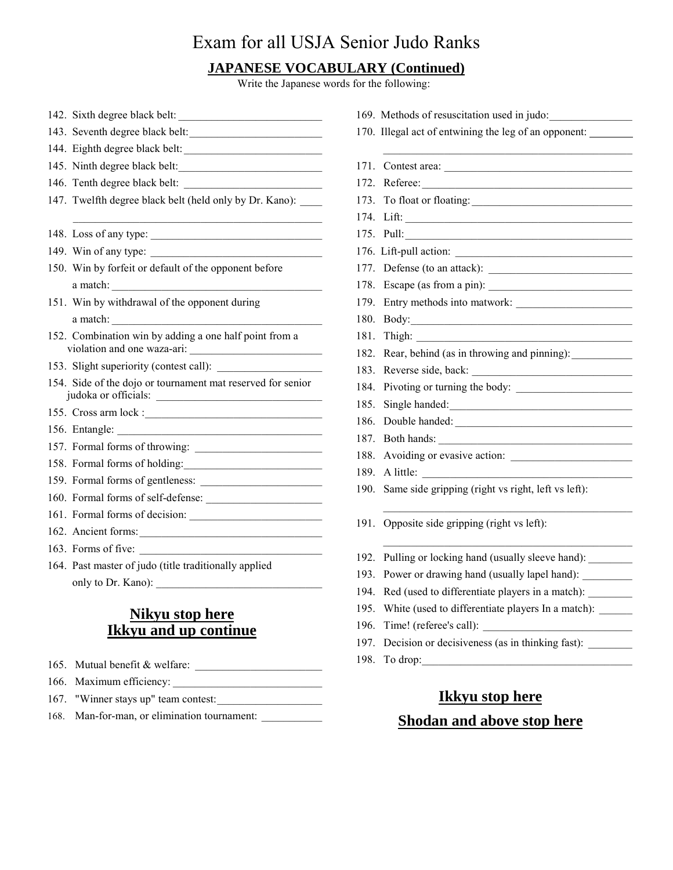#### **JAPANESE VOCABULARY (Continued)**

Write the Japanese words for the following:

142. Sixth degree black belt: 143. Seventh degree black belt:\_\_\_\_\_\_\_\_\_\_\_\_\_\_\_\_\_\_\_\_\_\_\_\_ 144. Eighth degree black belt: 145. Ninth degree black belt: 146. Tenth degree black belt: 147. Twelfth degree black belt (held only by Dr. Kano): 148. Loss of any type: 149. Win of any type: \_\_\_\_\_\_\_\_\_\_\_\_\_\_\_\_\_\_\_\_\_\_\_\_\_\_\_\_\_\_\_ 150. Win by forfeit or default of the opponent before  $a$  match: 151. Win by withdrawal of the opponent during a match: 152. Combination win by adding a one half point from a violation and one waza-ari: \_\_\_\_\_\_\_\_\_\_\_\_\_\_\_\_\_\_\_\_\_\_\_\_ 153. Slight superiority (contest call): 154. Side of the dojo or tournament mat reserved for senior judoka or officials: \_\_\_\_\_\_\_\_\_\_\_\_\_\_\_\_\_\_\_\_\_\_\_\_\_\_\_\_\_\_ 155. Cross arm lock : 156. Entangle: 157. Formal forms of throwing: \_\_\_\_\_\_\_\_\_\_\_\_\_\_\_\_\_\_\_\_\_\_\_ 158. Formal forms of holding: 159. Formal forms of gentleness: \_\_\_\_\_\_\_\_\_\_\_\_\_\_\_\_\_\_\_\_\_\_ 160. Formal forms of self-defense: \_\_\_\_\_\_\_\_\_\_\_\_\_\_\_\_\_\_\_\_\_ 161. Formal forms of decision: 162. Ancient forms: 163. Forms of five: 164. Past master of judo (title traditionally applied only to Dr. Kano): \_\_\_\_\_\_\_\_\_\_\_\_\_\_\_\_\_\_\_\_\_\_\_\_\_\_\_\_\_\_

#### **Nikyu stop here Ikkyu and up continue**

- 165. Mutual benefit & welfare:
- 166. Maximum efficiency:
- 167. "Winner stays up" team contest:\_\_\_\_\_\_\_\_\_\_\_\_\_\_\_\_\_\_\_
- 168. Man-for-man, or elimination tournament:
- 169. Methods of resuscitation used in judo: 170. Illegal act of entwining the leg of an opponent:  $\mathcal{L}_\text{max}$  and  $\mathcal{L}_\text{max}$  and  $\mathcal{L}_\text{max}$  and  $\mathcal{L}_\text{max}$  and  $\mathcal{L}_\text{max}$ 171. Contest area: 172. Referee: 173. To float or floating: \_\_\_\_\_\_\_\_\_\_\_\_\_\_\_\_\_\_\_\_\_\_\_\_\_\_\_\_\_ 174. Lift: 175. Pull: 176. Lift-pull action: 177. Defense (to an attack): 178. Escape (as from a pin): 179. Entry methods into matwork: 180. Body:  $181.$  Thigh: 182. Rear, behind (as in throwing and pinning): 183. Reverse side, back: 184. Pivoting or turning the body: 185. Single handed: 186. Double handed: \_\_\_\_\_\_\_\_\_\_\_\_\_\_\_\_\_\_\_\_\_\_\_\_\_\_\_\_\_\_\_\_ 187. Both hands: 188. Avoiding or evasive action: 189. A little: 190. Same side gripping (right vs right, left vs left):  $\mathcal{L}_\text{max}$  and  $\mathcal{L}_\text{max}$  and  $\mathcal{L}_\text{max}$  and  $\mathcal{L}_\text{max}$  and  $\mathcal{L}_\text{max}$ 191. Opposite side gripping (right vs left):  $\mathcal{L}_\text{max}$  and  $\mathcal{L}_\text{max}$  and  $\mathcal{L}_\text{max}$  and  $\mathcal{L}_\text{max}$  and  $\mathcal{L}_\text{max}$ 192. Pulling or locking hand (usually sleeve hand): 193. Power or drawing hand (usually lapel hand): \_\_\_\_\_\_\_\_\_\_\_\_\_\_\_\_\_\_\_\_\_\_\_\_\_\_\_\_\_\_\_ 194. Red (used to differentiate players in a match): 195. White (used to differentiate players In a match): 196. Time! (referee's call): 197. Decision or decisiveness (as in thinking fast): 198. To drop:

#### **Ikkyu stop here Shodan and above stop here**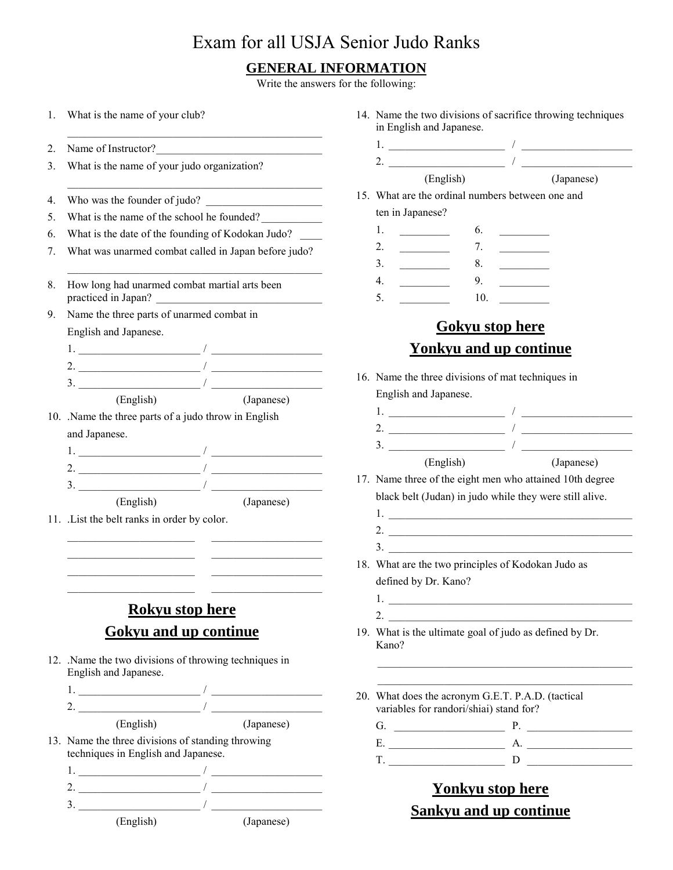#### **GENERAL INFORMATION**

Write the answers for the following:

| 1. | What is the name of your club?                                                                                                                                                                                                                                                                                                                | 14. Name the two divisions of sacrifice throwing techniques<br>in English and Japanese.                                                                                                                                                                                                                                                                                                                                                                                                                                                       |  |  |
|----|-----------------------------------------------------------------------------------------------------------------------------------------------------------------------------------------------------------------------------------------------------------------------------------------------------------------------------------------------|-----------------------------------------------------------------------------------------------------------------------------------------------------------------------------------------------------------------------------------------------------------------------------------------------------------------------------------------------------------------------------------------------------------------------------------------------------------------------------------------------------------------------------------------------|--|--|
| 2. |                                                                                                                                                                                                                                                                                                                                               |                                                                                                                                                                                                                                                                                                                                                                                                                                                                                                                                               |  |  |
| 3. | What is the name of your judo organization?                                                                                                                                                                                                                                                                                                   | 2. $\frac{1}{\sqrt{1-\frac{1}{2}}}\int$                                                                                                                                                                                                                                                                                                                                                                                                                                                                                                       |  |  |
|    |                                                                                                                                                                                                                                                                                                                                               | (English) (Japanese)                                                                                                                                                                                                                                                                                                                                                                                                                                                                                                                          |  |  |
| 4. | Who was the founder of judo?                                                                                                                                                                                                                                                                                                                  | 15. What are the ordinal numbers between one and                                                                                                                                                                                                                                                                                                                                                                                                                                                                                              |  |  |
| 5. | What is the name of the school he founded?                                                                                                                                                                                                                                                                                                    | ten in Japanese?                                                                                                                                                                                                                                                                                                                                                                                                                                                                                                                              |  |  |
| 6. | What is the date of the founding of Kodokan Judo?                                                                                                                                                                                                                                                                                             | 1.<br>$\mathcal{L}=\mathcal{L}$ . The set of $\mathcal{L}$<br>6.                                                                                                                                                                                                                                                                                                                                                                                                                                                                              |  |  |
| 7. | What was unarmed combat called in Japan before judo?                                                                                                                                                                                                                                                                                          | 2.<br>7.<br>$\frac{1}{2} \left( \frac{1}{2} \frac{1}{2} \frac{1}{2} \frac{1}{2} \frac{1}{2} \frac{1}{2} \frac{1}{2} \frac{1}{2} \frac{1}{2} \frac{1}{2} \frac{1}{2} \frac{1}{2} \frac{1}{2} \frac{1}{2} \frac{1}{2} \frac{1}{2} \frac{1}{2} \frac{1}{2} \frac{1}{2} \frac{1}{2} \frac{1}{2} \frac{1}{2} \frac{1}{2} \frac{1}{2} \frac{1}{2} \frac{1}{2} \frac{1}{2} \frac{1}{2} \frac{1}{2} \frac{1}{2}$<br>$\frac{1}{2} \left( \frac{1}{2} \right)^2 \left( \frac{1}{2} \right)^2 \left( \frac{1}{2} \right)^2 \left( \frac{1}{2} \right)^2$ |  |  |
|    |                                                                                                                                                                                                                                                                                                                                               | 8.<br>3.<br>$\mathcal{L}^{\text{max}}_{\text{max}}$ , where $\mathcal{L}^{\text{max}}_{\text{max}}$                                                                                                                                                                                                                                                                                                                                                                                                                                           |  |  |
| 8. | How long had unarmed combat martial arts been<br>practiced in Japan?                                                                                                                                                                                                                                                                          | 9. $\qquad$<br>4.<br>10.<br>5.                                                                                                                                                                                                                                                                                                                                                                                                                                                                                                                |  |  |
| 9. | Name the three parts of unarmed combat in                                                                                                                                                                                                                                                                                                     |                                                                                                                                                                                                                                                                                                                                                                                                                                                                                                                                               |  |  |
|    | English and Japanese.                                                                                                                                                                                                                                                                                                                         | <b>Gokyu stop here</b>                                                                                                                                                                                                                                                                                                                                                                                                                                                                                                                        |  |  |
|    | 1. $\frac{1}{\sqrt{2}}$ . The set of $\frac{1}{\sqrt{2}}$ , $\frac{1}{\sqrt{2}}$ , $\frac{1}{\sqrt{2}}$ , $\frac{1}{\sqrt{2}}$ , $\frac{1}{\sqrt{2}}$ , $\frac{1}{\sqrt{2}}$ , $\frac{1}{\sqrt{2}}$ , $\frac{1}{\sqrt{2}}$ , $\frac{1}{\sqrt{2}}$ , $\frac{1}{\sqrt{2}}$ , $\frac{1}{\sqrt{2}}$ , $\frac{1}{\sqrt{2}}$ , $\frac{1}{\sqrt{2}}$ | <b>Yonkyu and up continue</b>                                                                                                                                                                                                                                                                                                                                                                                                                                                                                                                 |  |  |
|    | 2. $\frac{1}{\sqrt{1-\frac{1}{2}}}\left(\frac{1}{\sqrt{1-\frac{1}{2}}}\right)$                                                                                                                                                                                                                                                                |                                                                                                                                                                                                                                                                                                                                                                                                                                                                                                                                               |  |  |
|    |                                                                                                                                                                                                                                                                                                                                               | 16. Name the three divisions of mat techniques in                                                                                                                                                                                                                                                                                                                                                                                                                                                                                             |  |  |
|    | (English)<br>(Japanese)                                                                                                                                                                                                                                                                                                                       | English and Japanese.                                                                                                                                                                                                                                                                                                                                                                                                                                                                                                                         |  |  |
|    | 10. Name the three parts of a judo throw in English                                                                                                                                                                                                                                                                                           |                                                                                                                                                                                                                                                                                                                                                                                                                                                                                                                                               |  |  |
|    | and Japanese.                                                                                                                                                                                                                                                                                                                                 |                                                                                                                                                                                                                                                                                                                                                                                                                                                                                                                                               |  |  |
|    | 1. $\frac{1}{\sqrt{1-\frac{1}{2}}\left(1-\frac{1}{2}\right)}$                                                                                                                                                                                                                                                                                 |                                                                                                                                                                                                                                                                                                                                                                                                                                                                                                                                               |  |  |
|    |                                                                                                                                                                                                                                                                                                                                               | (English)<br>(Japanese)                                                                                                                                                                                                                                                                                                                                                                                                                                                                                                                       |  |  |
|    |                                                                                                                                                                                                                                                                                                                                               | 17. Name three of the eight men who attained 10th degree                                                                                                                                                                                                                                                                                                                                                                                                                                                                                      |  |  |
|    | (English)<br>(Japanese)                                                                                                                                                                                                                                                                                                                       | black belt (Judan) in judo while they were still alive.                                                                                                                                                                                                                                                                                                                                                                                                                                                                                       |  |  |
|    | 11. List the belt ranks in order by color.                                                                                                                                                                                                                                                                                                    |                                                                                                                                                                                                                                                                                                                                                                                                                                                                                                                                               |  |  |
|    | the control of the control of the control of the control of the control of the control of                                                                                                                                                                                                                                                     |                                                                                                                                                                                                                                                                                                                                                                                                                                                                                                                                               |  |  |
|    |                                                                                                                                                                                                                                                                                                                                               | 3.<br>18. What are the two principles of Kodokan Judo as                                                                                                                                                                                                                                                                                                                                                                                                                                                                                      |  |  |
|    |                                                                                                                                                                                                                                                                                                                                               | defined by Dr. Kano?                                                                                                                                                                                                                                                                                                                                                                                                                                                                                                                          |  |  |
|    |                                                                                                                                                                                                                                                                                                                                               |                                                                                                                                                                                                                                                                                                                                                                                                                                                                                                                                               |  |  |
|    | <b>Rokyu stop here</b>                                                                                                                                                                                                                                                                                                                        |                                                                                                                                                                                                                                                                                                                                                                                                                                                                                                                                               |  |  |
|    | <b>Gokyu and up continue</b>                                                                                                                                                                                                                                                                                                                  | 2. $\qquad \qquad$<br>19. What is the ultimate goal of judo as defined by Dr.<br>Kano?                                                                                                                                                                                                                                                                                                                                                                                                                                                        |  |  |
|    | 12. Name the two divisions of throwing techniques in<br>English and Japanese.                                                                                                                                                                                                                                                                 |                                                                                                                                                                                                                                                                                                                                                                                                                                                                                                                                               |  |  |
|    |                                                                                                                                                                                                                                                                                                                                               | 20. What does the acronym G.E.T. P.A.D. (tactical                                                                                                                                                                                                                                                                                                                                                                                                                                                                                             |  |  |
|    | 2. $\frac{1}{\sqrt{1-\frac{1}{2}}}\left(\frac{1}{\sqrt{1-\frac{1}{2}}}\right)$                                                                                                                                                                                                                                                                | variables for randori/shiai) stand for?                                                                                                                                                                                                                                                                                                                                                                                                                                                                                                       |  |  |
|    | (English)<br>(Japanese)                                                                                                                                                                                                                                                                                                                       | G. $\qquad \qquad P.$                                                                                                                                                                                                                                                                                                                                                                                                                                                                                                                         |  |  |
|    | 13. Name the three divisions of standing throwing                                                                                                                                                                                                                                                                                             |                                                                                                                                                                                                                                                                                                                                                                                                                                                                                                                                               |  |  |
|    | techniques in English and Japanese.                                                                                                                                                                                                                                                                                                           | $T.$ $D$                                                                                                                                                                                                                                                                                                                                                                                                                                                                                                                                      |  |  |
|    |                                                                                                                                                                                                                                                                                                                                               |                                                                                                                                                                                                                                                                                                                                                                                                                                                                                                                                               |  |  |
|    | 2. $\frac{1}{\sqrt{1-\frac{1}{2}}}\left(\frac{1}{\sqrt{1-\frac{1}{2}}}\right)$                                                                                                                                                                                                                                                                | <b>Yonkyu stop here</b>                                                                                                                                                                                                                                                                                                                                                                                                                                                                                                                       |  |  |
|    |                                                                                                                                                                                                                                                                                                                                               | <b>Sankyu and up continue</b>                                                                                                                                                                                                                                                                                                                                                                                                                                                                                                                 |  |  |
|    | (English) (Japanese)                                                                                                                                                                                                                                                                                                                          |                                                                                                                                                                                                                                                                                                                                                                                                                                                                                                                                               |  |  |

- divisions of sacrifice throwing techniques Japanese.
	- 1. \_\_\_\_\_\_\_\_\_\_\_\_\_\_\_\_\_\_\_\_\_ / \_\_\_\_\_\_\_\_\_\_\_\_\_\_\_\_\_\_\_\_ 2. \_\_\_\_\_\_\_\_\_\_\_\_\_\_\_\_\_\_\_\_\_ / \_\_\_\_\_\_\_\_\_\_\_\_\_\_\_\_\_\_\_\_ (English) (Japanese)
- ordinal numbers between one and ten in Japanese?

| 1. | 6.  |  |
|----|-----|--|
| 2. | 7.  |  |
| 3. | 8.  |  |
| 4. | 9.  |  |
| 5. | 10. |  |

#### **Gokyu stop here <u>kyu and up continue</u>**

- e divisions of mat techniques in panese.
	- 1. \_\_\_\_\_\_\_\_\_\_\_\_\_\_\_\_\_\_\_\_\_ / \_\_\_\_\_\_\_\_\_\_\_\_\_\_\_\_\_\_\_\_ 2. \_\_\_\_\_\_\_\_\_\_\_\_\_\_\_\_\_\_\_\_\_ / \_\_\_\_\_\_\_\_\_\_\_\_\_\_\_\_\_\_\_\_ 3. \_\_\_\_\_\_\_\_\_\_\_\_\_\_\_\_\_\_\_\_\_ / \_\_\_\_\_\_\_\_\_\_\_\_\_\_\_\_\_\_\_\_
	- (Japanese)
- the eight men who attained 10th degree lan) in judo while they were still alive.
	- 1.  $\Box$ 2.  $\Box$
- wo principles of Kodokan Judo as Kano?
- timate goal of judo as defined by Dr.
- acronym G.E.T. P.A.D. (tactical andori/shiai) stand for?
	- $P.$   $P.$   $\Box$ E. \_\_\_\_\_\_\_\_\_\_\_\_\_\_\_\_\_\_\_\_\_ A. \_\_\_\_\_\_\_\_\_\_\_\_\_\_\_\_\_\_\_  $\begin{array}{|c|c|c|c|c|}\n\hline\nD&\multicolumn{1}{c|c|c|c} \hline\nD&\multicolumn{1}{c|c|c|c} \hline\n\end{array}$

## **Yonkyu stop here Sankyu and up continue**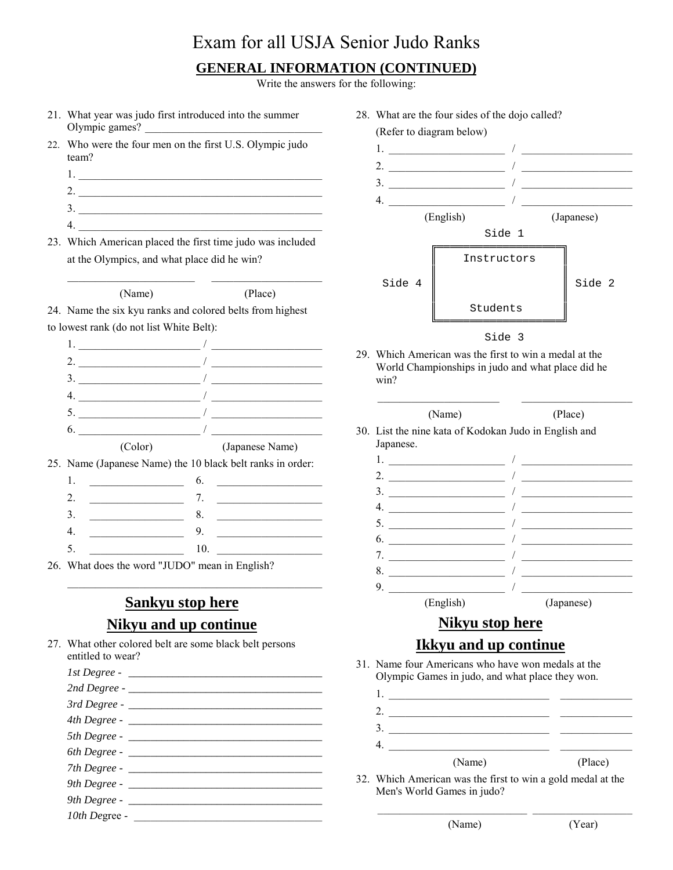#### **GENERAL INFORMATION (CONTINUED)**

Write the answers for the following:

- 21. What year was judo first introduced into the summer Olympic games?
- 22. Who were the four men on the first U.S. Olympic judo team?
	- $1.$
	- 2. \_\_\_\_\_\_\_\_\_\_\_\_\_\_\_\_\_\_\_\_\_\_\_\_\_\_\_\_\_\_\_\_\_\_\_\_\_\_\_\_\_\_\_\_
	- $3.$   $\overline{\phantom{a}}$
	- $4.$
- 23. Which American placed the first time judo was included at the Olympics, and what place did he win?

(Name) (Place)

24. Name the six kyu ranks and colored belts from highest to lowest rank (do not list White Belt):

1.  $\frac{1}{\sqrt{2}}$ 2.  $\frac{1}{\sqrt{2\pi}}$  $3.$   $\overline{\phantom{a}}$  $4.$ 5. \_\_\_\_\_\_\_\_\_\_\_\_\_\_\_\_\_\_\_\_\_\_ / \_\_\_\_\_\_\_\_\_\_\_\_\_\_\_\_\_\_\_\_  $\bullet$ .  $\qquad \qquad$ (Color) (Japanese Name)

25. Name (Japanese Name) the 10 black belt ranks in order:

26. What does the word "JUDO" mean in English?

#### **Sankyu stop here Nikyu and up continue**

27. What other colored belt are some black belt persons entitled to wear?

| 7th Degree -  |
|---------------|
|               |
|               |
| 10th Degree - |
|               |

- 28. What are the four sides of the dojo called? (Refer to diagram below) 1. \_\_\_\_\_\_\_\_\_\_\_\_\_\_\_\_\_\_\_\_\_ / \_\_\_\_\_\_\_\_\_\_\_\_\_\_\_\_\_\_\_\_ 2. \_\_\_\_\_\_\_\_\_\_\_\_\_\_\_\_\_\_\_\_\_ / \_\_\_\_\_\_\_\_\_\_\_\_\_\_\_\_\_\_\_\_  $3.$ 4. \_\_\_\_\_\_\_\_\_\_\_\_\_\_\_\_\_\_\_\_\_ / \_\_\_\_\_\_\_\_\_\_\_\_\_\_\_\_\_\_\_\_ (English) (Japanese) Side 1 ╔═══════════════════ Instructors ║ ║  $\text{Side } 4 \parallel$   $\text{Side } 2$ ║ ║ Students ╚════════════════════════════ Side 3
- 29. Which American was the first to win a medal at the World Championships in judo and what place did he win?

| 30. List the nine kata of Kodokan Judo in English and |            |
|-------------------------------------------------------|------------|
| Japanese.                                             |            |
| 1. $\overline{\phantom{a}}$                           |            |
|                                                       |            |
|                                                       |            |
|                                                       |            |
| $\frac{1}{2}$                                         |            |
| $\frac{1}{2}$                                         |            |
|                                                       |            |
|                                                       |            |
| 9.                                                    |            |
| (English)                                             | (Japanese) |
| Nikyu stop here                                       |            |
| <b>Ikkyu and up continue</b>                          |            |

31. Name four Americans who have won medals at the Olympic Games in judo, and what place they won.

| (Name) | (Place) |
|--------|---------|

 $\_$  , and the set of the set of the set of the set of the set of the set of the set of the set of the set of the set of the set of the set of the set of the set of the set of the set of the set of the set of the set of th

32. Which American was the first to win a gold medal at the Men's World Games in judo?

(Name) (Year)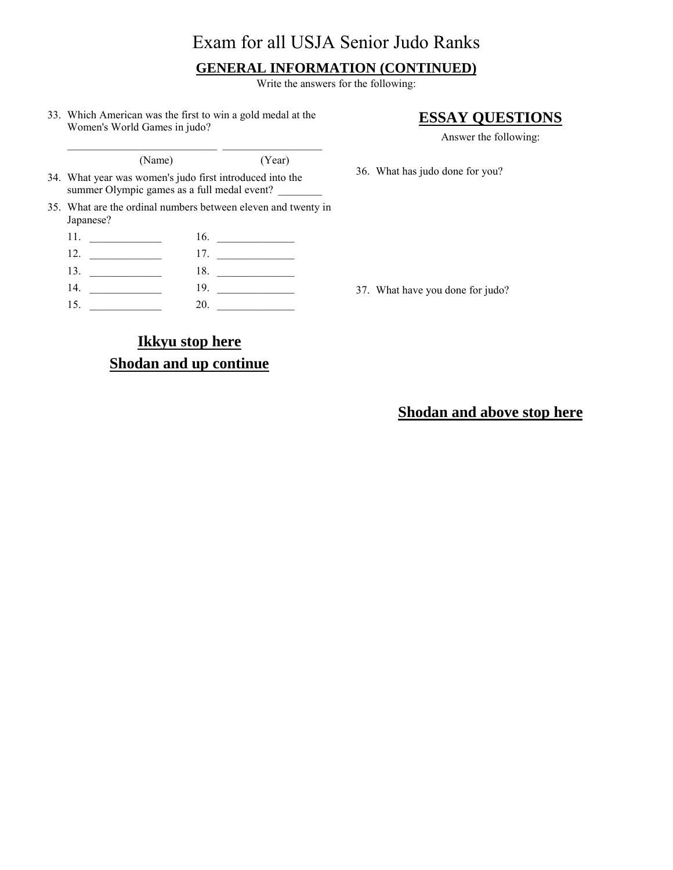#### **GENERAL INFORMATION (CONTINUED)**

Write the answers for the following:

33. Which American was the first to win a gold medal at the Women's World Games in judo?

#### **ESSAY QUESTIONS**

Answer the following:

(Name) (Year)

- 34. What year was women's judo first introduced into the summer Olympic games as a full medal event?
- 35. What are the ordinal numbers between eleven and twenty in Japanese?

| 11. | 16.                                      |
|-----|------------------------------------------|
| 12. | 17.<br>the control of the control of the |
| 13. | 18.                                      |
| 14. | 19.                                      |
| 15. | 20.                                      |

37. What have you done for judo?

36. What has judo done for you?

#### **Ikkyu stop here Shodan and up continue**

**Shodan and above stop here**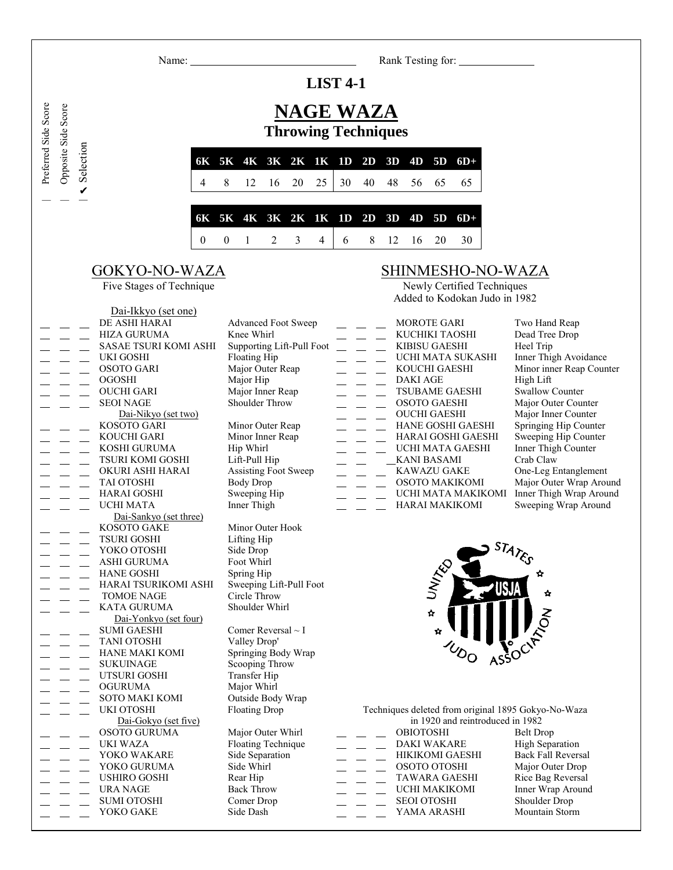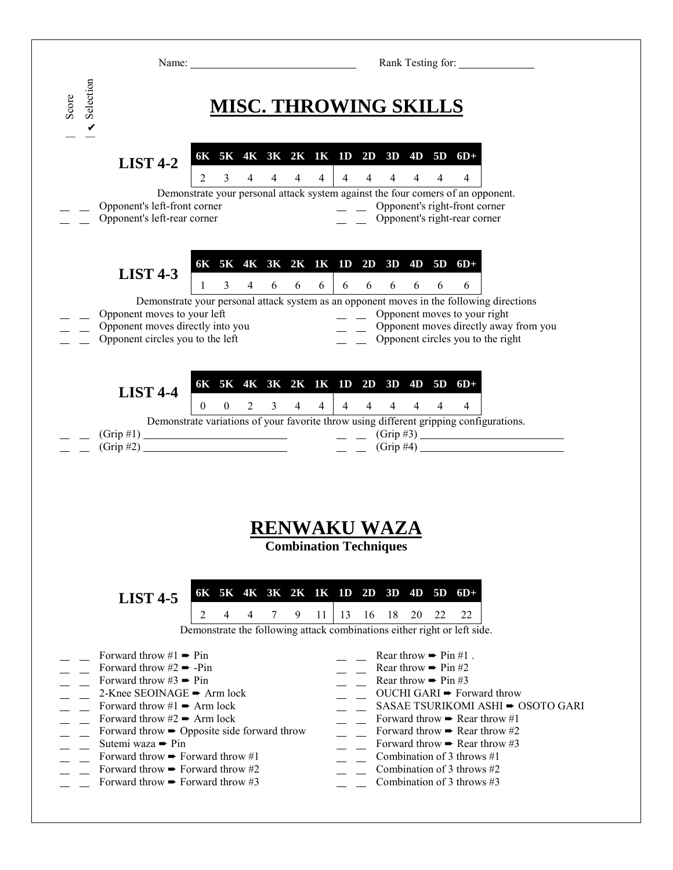|                                                                                                                                                                                                                                                                                                                                                                                                                                              | Rank Testing for:<br>Name:                                                                                                                                                                                                                                                                                                                                                                                                                                                |
|----------------------------------------------------------------------------------------------------------------------------------------------------------------------------------------------------------------------------------------------------------------------------------------------------------------------------------------------------------------------------------------------------------------------------------------------|---------------------------------------------------------------------------------------------------------------------------------------------------------------------------------------------------------------------------------------------------------------------------------------------------------------------------------------------------------------------------------------------------------------------------------------------------------------------------|
| Selection<br>Score<br>$\mathbf v$                                                                                                                                                                                                                                                                                                                                                                                                            | MISC. THROWING SKILLS                                                                                                                                                                                                                                                                                                                                                                                                                                                     |
| <b>LIST 4-2</b>                                                                                                                                                                                                                                                                                                                                                                                                                              | 6K 5K 4K 3K 2K 1K 1D 2D 3D 4D 5D 6D+<br>$4 \quad 4 \quad 4 \quad 4$<br>$4 \quad 4 \quad 4$<br>$4\quad 4$<br>2<br>3<br>$\overline{4}$                                                                                                                                                                                                                                                                                                                                      |
| Opponent's left-front corner<br>Opponent's left-rear corner                                                                                                                                                                                                                                                                                                                                                                                  | Demonstrate your personal attack system against the four comers of an opponent.<br>Opponent's right-front corner<br>$\overline{a}$ $\overline{a}$<br>Opponent's right-rear corner                                                                                                                                                                                                                                                                                         |
| <b>LIST 4-3</b><br>Opponent moves to your left<br>Opponent moves directly into you<br>Opponent circles you to the left                                                                                                                                                                                                                                                                                                                       | 6K 5K 4K 3K 2K 1K 1D 2D 3D 4D 5D 6D+<br>6<br>6<br>6<br>6<br>3<br>$\overline{4}$<br>6<br>6<br>$\mathbf{1}$<br>6<br>6<br>6<br>Demonstrate your personal attack system as an opponent moves in the following directions<br>$\equiv$ Opponent moves to your right<br>$\qquad \qquad \qquad$ Opponent moves directly away from you<br>Opponent circles you to the right                                                                                                        |
| <b>LIST 4-4</b>                                                                                                                                                                                                                                                                                                                                                                                                                              | 6K 5K 4K 3K 2K 1K 1D 2D 3D 4D 5D 6D+<br>$\overline{4}$<br>$\overline{0}$<br>$\overline{4}$<br>$\overline{4}$<br>$\theta$<br>2<br>$\mathfrak{Z}$<br>$\overline{4}$<br>$\overline{4}$<br>4<br>4<br>4<br>Demonstrate variations of your favorite throw using different gripping configurations.<br>$\frac{1}{2}$ (Grip #4)                                                                                                                                                   |
| <b>LIST 4-5</b>                                                                                                                                                                                                                                                                                                                                                                                                                              | <b>RENWAKU WAZA</b><br><b>Combination Techniques</b><br>6K 5K 4K 3K 2K 1K 1D 2D 3D 4D 5D 6D+<br>2<br>9<br>-18<br>20<br>22<br>4<br>4<br>7<br>11<br>13<br>16<br>- 22<br>Demonstrate the following attack combinations either right or left side.                                                                                                                                                                                                                            |
| Forward throw #1 $\rightarrow$ Pin<br>Forward throw #2 $\rightarrow$ -Pin<br>Forward throw #3 $\rightarrow$ Pin<br>2-Knee SEOINAGE $\rightarrow$ Arm lock<br>Forward throw #1 $\rightarrow$ Arm lock<br>Forward throw #2 $\blacktriangleright$ Arm lock<br>Sutemi waza → Pin<br>Forward throw $\rightarrow$ Forward throw #1<br>Forward throw $\blacktriangleright$ Forward throw #2<br>Forward throw $\blacktriangleright$ Forward throw #3 | Rear throw $\rightarrow$ Pin #1.<br>Rear throw $\rightarrow$ Pin #2<br>Rear throw $\rightarrow$ Pin #3<br>OUCHI GARI ► Forward throw<br>SASAE TSURIKOMI ASHI → OSOTO GARI<br>Forward throw $\rightarrow$ Rear throw #1<br>Forward throw $\rightarrow$ Opposite side forward throw<br>Forward throw $\rightarrow$ Rear throw #2<br>Forward throw $\rightarrow$ Rear throw #3<br>Combination of 3 throws $#1$<br>Combination of 3 throws $#2$<br>Combination of 3 throws #3 |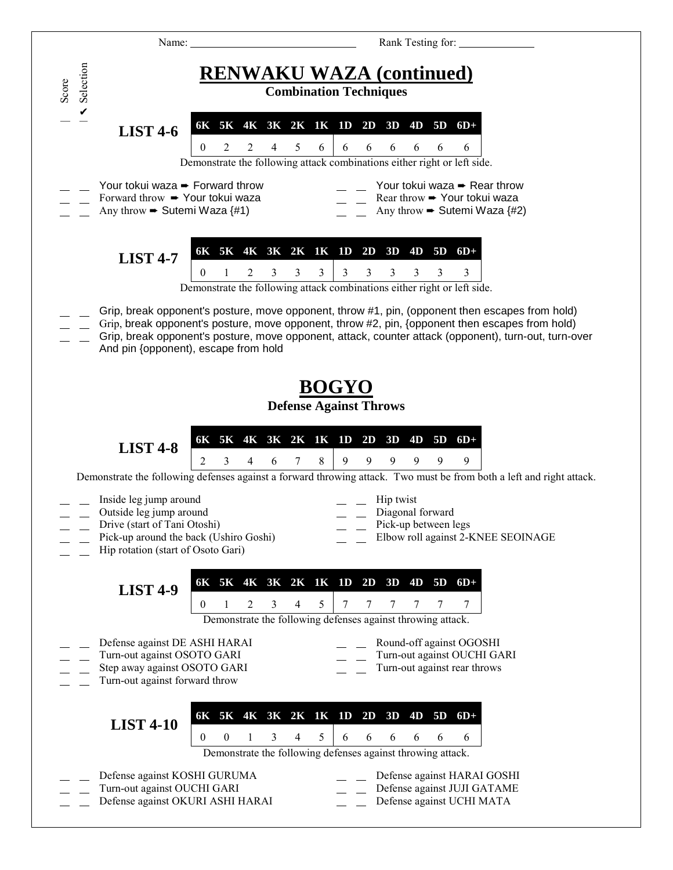| Name:                                                                                                                          |                                                                    | Rank Testing for:                                                                                                                                                                                                                                                                                           |
|--------------------------------------------------------------------------------------------------------------------------------|--------------------------------------------------------------------|-------------------------------------------------------------------------------------------------------------------------------------------------------------------------------------------------------------------------------------------------------------------------------------------------------------|
| Selection<br>Score                                                                                                             |                                                                    | <b>RENWAKU WAZA (continued)</b><br><b>Combination Techniques</b>                                                                                                                                                                                                                                            |
| <b>LIST 4-6</b>                                                                                                                | 5<br>2<br>2<br>$\theta$<br>6                                       | 6K 5K 4K 3K 2K 1K 1D 2D 3D 4D 5D 6D+<br>6<br>6<br>6<br>6<br>6<br>6<br>Demonstrate the following attack combinations either right or left side.                                                                                                                                                              |
| Your tokui waza → Forward throw<br>Forward throw → Your tokui waza<br>Any throw $\rightarrow$ Sutemi Waza {#1)                 |                                                                    | Your tokui waza → Rear throw<br>Rear throw → Your tokui waza<br>Any throw $\blacktriangleright$ Sutemi Waza {#2)                                                                                                                                                                                            |
| <b>LIST 4-7</b>                                                                                                                | $\overline{3}$<br>3<br>3<br>$\theta$<br>2                          | 6K 5K 4K 3K 2K 1K 1D 2D 3D 4D 5D 6D+<br>$\mathbf{3}$<br>3<br>3<br>3<br>3<br>3<br>Demonstrate the following attack combinations either right or left side.                                                                                                                                                   |
|                                                                                                                                | And pin {opponent), escape from hold                               | Grip, break opponent's posture, move opponent, throw #1, pin, (opponent then escapes from hold)<br>Grip, break opponent's posture, move opponent, throw #2, pin, {opponent then escapes from hold)<br>Grip, break opponent's posture, move opponent, attack, counter attack (opponent), turn-out, turn-over |
|                                                                                                                                |                                                                    | <b>BOGYO</b><br><b>Defense Against Throws</b>                                                                                                                                                                                                                                                               |
| <b>LIST 4-8</b>                                                                                                                | 2<br>8<br>3<br>4<br>$\tau$<br>6                                    | 6K 5K 4K 3K 2K 1K 1D 2D 3D 4D 5D 6D+<br>9<br>9<br>9<br>9<br>9<br>9                                                                                                                                                                                                                                          |
|                                                                                                                                |                                                                    | Demonstrate the following defenses against a forward throwing attack. Two must be from both a left and right attack.                                                                                                                                                                                        |
| Inside leg jump around<br>Outside leg jump around<br>Drive (start of Tani Otoshi)<br>Hip rotation (start of Osoto Gari)        | Pick-up around the back (Ushiro Goshi)                             | Hip twist<br>Diagonal forward<br>Pick-up between legs<br>Elbow roll against 2-KNEE SEOINAGE                                                                                                                                                                                                                 |
| <b>LIST 4-9</b>                                                                                                                | 5<br>$\theta$<br>2<br>3<br>4                                       | 6K 5K 4K 3K 2K 1K 1D 2D 3D 4D 5D 6D+<br>7<br>7<br>7<br>7<br>7<br>Demonstrate the following defenses against throwing attack.                                                                                                                                                                                |
| Defense against DE ASHI HARAI<br>Turn-out against OSOTO GARI<br>Step away against OSOTO GARI<br>Turn-out against forward throw |                                                                    | Round-off against OGOSHI<br>Turn-out against OUCHI GARI<br>Turn-out against rear throws                                                                                                                                                                                                                     |
| <b>LIST 4-10</b>                                                                                                               | 6K 5K 4K 3K 2K 1K 1D 2D 3D<br>5<br>$\boldsymbol{0}$<br>3<br>0<br>4 | 4D<br>5D<br>$6D+$<br>6<br>6<br>6<br>6<br>6<br>6<br>Demonstrate the following defenses against throwing attack.                                                                                                                                                                                              |
| Defense against KOSHI GURUMA<br>Turn-out against OUCHI GARI                                                                    | Defense against OKURI ASHI HARAI                                   | Defense against HARAI GOSHI<br>Defense against JUJI GATAME<br>Defense against UCHI MATA                                                                                                                                                                                                                     |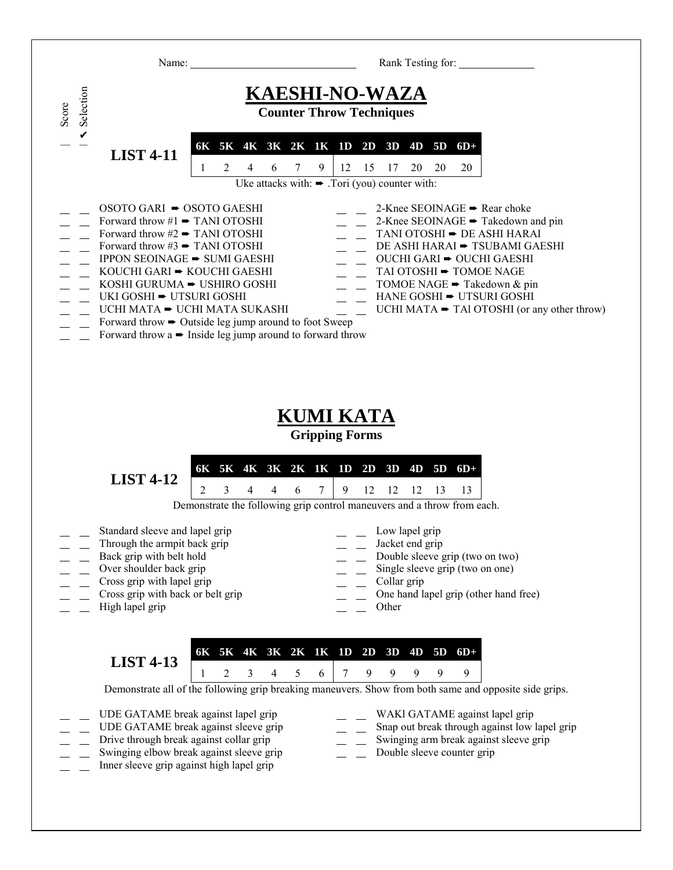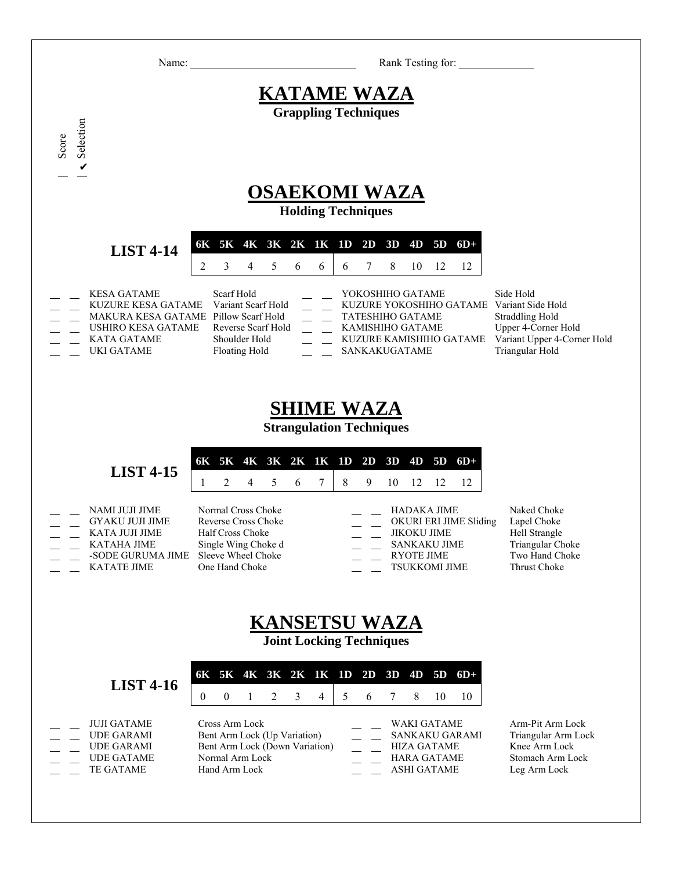| Name:                                                                                                                                                           |                                                                                                                                     | Rank Testing for:                                                                                                                                        |                                                                                                              |
|-----------------------------------------------------------------------------------------------------------------------------------------------------------------|-------------------------------------------------------------------------------------------------------------------------------------|----------------------------------------------------------------------------------------------------------------------------------------------------------|--------------------------------------------------------------------------------------------------------------|
|                                                                                                                                                                 |                                                                                                                                     | <b>KATAME WAZA</b>                                                                                                                                       |                                                                                                              |
| Selection                                                                                                                                                       |                                                                                                                                     | <b>Grappling Techniques</b>                                                                                                                              |                                                                                                              |
| Score<br>$\checkmark$                                                                                                                                           |                                                                                                                                     |                                                                                                                                                          |                                                                                                              |
|                                                                                                                                                                 |                                                                                                                                     | <b>OSAEKOMI WAZA</b><br><b>Holding Techniques</b>                                                                                                        |                                                                                                              |
| <b>LIST 4-14</b>                                                                                                                                                | 6K 5K 4K 3K 2K 1K 1D 2D 3D 4D<br>3<br>5<br>6<br>2<br>4<br>6                                                                         | $5D$ $6D+$<br>7<br>8<br>6<br>10<br>12<br>12                                                                                                              |                                                                                                              |
| <b>KESA GATAME</b><br><b>KUZURE KESA GATAME</b><br>MAKURA KESA GATAME Pillow Scarf Hold<br><b>USHIRO KESA GATAME</b><br><b>KATA GATAME</b><br><b>UKI GATAME</b> | Scarf Hold<br>Variant Scarf Hold<br>Reverse Scarf Hold<br>Shoulder Hold<br><b>Floating Hold</b>                                     | YOKOSHIHO GATAME<br>KUZURE YOKOSHIHO GATAME Variant Side Hold<br><b>TATESHIHO GATAME</b><br>KAMISHIHO GATAME<br>KUZURE KAMISHIHO GATAME<br>SANKAKUGATAME | Side Hold<br><b>Straddling Hold</b><br>Upper 4-Corner Hold<br>Variant Upper 4-Corner Hold<br>Triangular Hold |
|                                                                                                                                                                 |                                                                                                                                     | <b>SHIME WAZA</b><br><b>Strangulation Techniques</b>                                                                                                     |                                                                                                              |
| <b>LIST 4-15</b>                                                                                                                                                | 6K 5K 4K 3K 2K 1K 1D 2D 3D<br>$\overline{2}$<br>5<br>7<br>4<br>6                                                                    | 4D<br>$5D$ $6D+$<br>8<br>9<br>10<br>12<br>12<br>12                                                                                                       |                                                                                                              |
| NAMI JUJI JIME<br><b>GYAKU JUJI JIME</b><br>KATA JUJI JIME<br><b>KATAHA JIME</b><br>-SODE GURUMA JIME<br><b>KATATE JIME</b>                                     | Normal Cross Choke<br><b>Reverse Cross Choke</b><br>Half Cross Choke<br>Single Wing Choke d<br>Sleeve Wheel Choke<br>One Hand Choke | <b>HADAKA JIME</b><br>OKURI ERI JIME Sliding<br>JIKOKU JIME<br><b>SANKAKU JIME</b><br><b>RYOTE JIME</b><br><b>TSUKKOMI JIME</b>                          | Naked Choke<br>Lapel Choke<br>Hell Strangle<br>Triangular Choke<br>Two Hand Choke<br>Thrust Choke            |
|                                                                                                                                                                 |                                                                                                                                     | <b>KANSETSU WAZA</b><br><b>Joint Locking Techniques</b>                                                                                                  |                                                                                                              |
| <b>LIST 4-16</b>                                                                                                                                                | 5K 4K 3K 2K 1K 1D<br>6K<br>$\boldsymbol{0}$<br>$\mathbf{0}$<br>2<br>3<br>$\overline{4}$<br>1                                        | $5D$ $6D+$<br>$2D$ 3D<br>4D<br>5<br>6<br>7<br>8<br>10<br>10                                                                                              |                                                                                                              |
| <b>JUJI GATAME</b><br><b>UDE GARAMI</b><br><b>UDE GARAMI</b><br><b>UDE GATAME</b><br>TE GATAME                                                                  | Cross Arm Lock<br>Bent Arm Lock (Up Variation)<br>Bent Arm Lock (Down Variation)<br>Normal Arm Lock<br>Hand Arm Lock                | WAKI GATAME<br>SANKAKU GARAMI<br><b>HIZA GATAME</b><br><b>HARA GATAME</b><br><b>ASHI GATAME</b>                                                          | Arm-Pit Arm Lock<br>Triangular Arm Lock<br>Knee Arm Lock<br>Stomach Arm Lock<br>Leg Arm Lock                 |
|                                                                                                                                                                 |                                                                                                                                     |                                                                                                                                                          |                                                                                                              |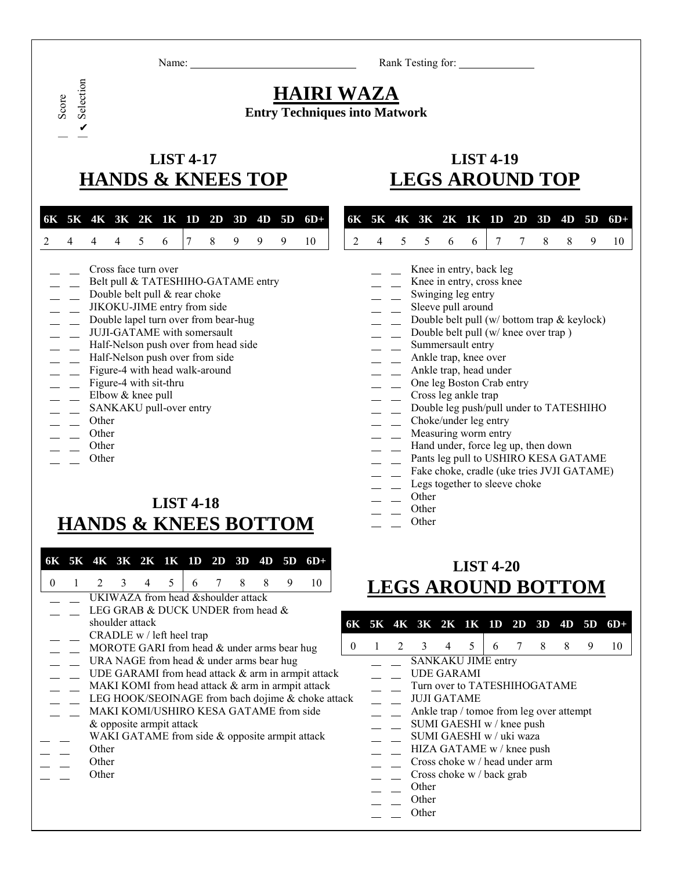Name: Rank Testing for:

#### **HAIRI WAZA Entry Techniques into Matwork**

## **LIST 4-17 LIST 4-19 HANDS & KNEES TOP LEGS AROUND TOP**

|  |  |  |  |  | 6K 5K 4K 3K 2K 1K 1D 2D 3D 4D 5D 6D+ 6K 5K 4K 3K 2K 1K 1D 2D 3D 4D 5D 6D+ |  |  |  |  |  |  |  |
|--|--|--|--|--|---------------------------------------------------------------------------|--|--|--|--|--|--|--|
|  |  |  |  |  | 2 4 4 4 5 6 7 8 9 9 9 10   2 4 5 5 6 6 7 7 8 8 9 10                       |  |  |  |  |  |  |  |

- 
- Belt pull & TATESHIHO-GATAME entry Theory Contains the entry, cross knee
- Double belt pull & rear choke Swinging leg entry
- JIKOKU-JIME entry from side Sleeve pull around
- 
- 
- Half-Nelson push over from head side Summersault entry
- Half-Nelson push over from side  $\overline{A}$  Ankle trap, knee over
- Figure-4 with head walk-around **Ankle trap, head under** Ankle trap, head under
- 
- 
- 
- 

| Score Selection

✔

Selection

- 
- 
- 

#### **LIST 4-18 HANDS & KNEES BOTTOM**

| 6K  <br>$\Omega$ | 5K 4K 3K 2K 1K 1D       |                 | 5                                                                                                                                                      | 2D | 3D<br>8 | 4D | 5D<br>9 | $6D+$<br>10                                                                                                                                                                                                    |          |                   | <b>LEGS AROUND BOTTOI</b>                                                                                                                                                                                                                                                                                                 | <b>LIST 4-20</b> |    |    |         |         |  |
|------------------|-------------------------|-----------------|--------------------------------------------------------------------------------------------------------------------------------------------------------|----|---------|----|---------|----------------------------------------------------------------------------------------------------------------------------------------------------------------------------------------------------------------|----------|-------------------|---------------------------------------------------------------------------------------------------------------------------------------------------------------------------------------------------------------------------------------------------------------------------------------------------------------------------|------------------|----|----|---------|---------|--|
|                  |                         | shoulder attack | UKIWAZA from head & shoulder attack<br>LEG GRAB & DUCK UNDER from head &<br>CRADLE w / left heel trap<br>MOROTE GARI from head $&$ under arms bear hug |    |         |    |         |                                                                                                                                                                                                                | $\theta$ | 6K 5K 4K 3K 2K 1K | 3                                                                                                                                                                                                                                                                                                                         | 5                | 1D | 2D | 3D<br>8 | 4D<br>8 |  |
|                  | Other<br>Other<br>Other |                 | URA NAGE from head $&$ under arms bear hug<br>MAKI KOMI/USHIRO KESA GATAME from side<br>& opposite armpit attack                                       |    |         |    |         | UDE GARAMI from head attack & arm in armpit attack<br>MAKI KOMI from head attack & arm in armpit attack<br>LEG HOOK/SEOINAGE from bach dojime & choke attack<br>WAKI GATAME from side & opposite armpit attack |          |                   | SANKAKU JIME entry<br><b>UDE GARAMI</b><br>Turn over to TATESHIHOGATAME<br><b>JUJI GATAME</b><br>Ankle trap / tomoe from leg over attempt<br>SUMI GAESHI w / knee push<br>SUMI GAESHI w / uki waza<br>HIZA GATAME w / knee push<br>Cross choke w / head under arm<br>Cross choke w / back grab<br>Other<br>Other<br>Other |                  |    |    |         |         |  |

|  |  | 6K 5K 4K 3K 2K 1K 1D 2D 3D 4D 5D 6D+ |  |  |  |
|--|--|--------------------------------------|--|--|--|
|  |  | 2 4 5 5 6 6 7 7 8 8 9 10             |  |  |  |

- Cross face turn over **Knee** in entry, back leg
	-
	-
	-
- Double lapel turn over from bear-hug Double belt pull (w/ bottom trap & keylock)
- JUJI-GATAME with somersault Double belt pull (w/ knee over trap )
	-
	-
	-
- Figure-4 with sit-thru  $\qquad \qquad \qquad$  One leg Boston Crab entry
- Elbow & knee pull Cross leg ankle trap
- SANKAKU pull-over entry SANKAKU pull-over entry Double leg push/pull under to TATESHIHO
- Other Choke/under leg entry
- Other Measuring worm entry and the Measuring worm entry
- Other Hand under, force leg up, then down
- Other **Pants leg pull to USHIRO KESA GATAME** 
	- Fake choke, cradle (uke tries JVJI GATAME)
	- Legs together to sleeve choke
	- **Other**
	- **Other**
	- **Other**

#### **LIST 4-20 LEGS AROUND BOTTOM**

|          |   |   | 6K 5K 4K 3K 2K 1K 1D 2D 3D 4D 5D                               |                |   |   |     |    |   | – 6D+ |
|----------|---|---|----------------------------------------------------------------|----------------|---|---|-----|----|---|-------|
| $\Omega$ | 1 | 2 | 3                                                              | $\overline{4}$ | 5 | 6 | 7 8 | -8 | 9 |       |
|          |   |   | SANKAKU JIME entry<br>UDE GARAMI                               |                |   |   |     |    |   |       |
|          |   |   | Turn over to TATESHIHOGATAME                                   |                |   |   |     |    |   |       |
| ıck      |   |   | <b>JUJI GATAME</b><br>Ankle trap / tomoe from leg over attempt |                |   |   |     |    |   |       |
|          |   |   | SUMI GAESHI w / knee push<br>SUMI GAESHI w / uki waza          |                |   |   |     |    |   |       |
|          |   |   | HIZA GATAME w / knee push                                      |                |   |   |     |    |   |       |
|          |   |   | Cross choke $w /$ head under arm<br>Cross choke w / back grab  |                |   |   |     |    |   |       |
|          |   |   | Other                                                          |                |   |   |     |    |   |       |
|          |   |   | Other<br>Other                                                 |                |   |   |     |    |   |       |
|          |   |   |                                                                |                |   |   |     |    |   |       |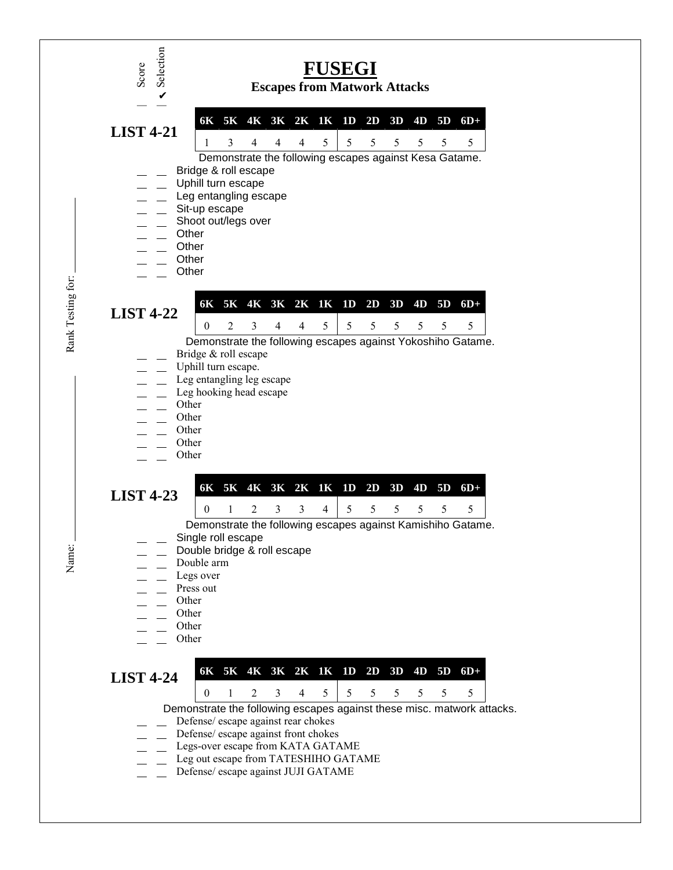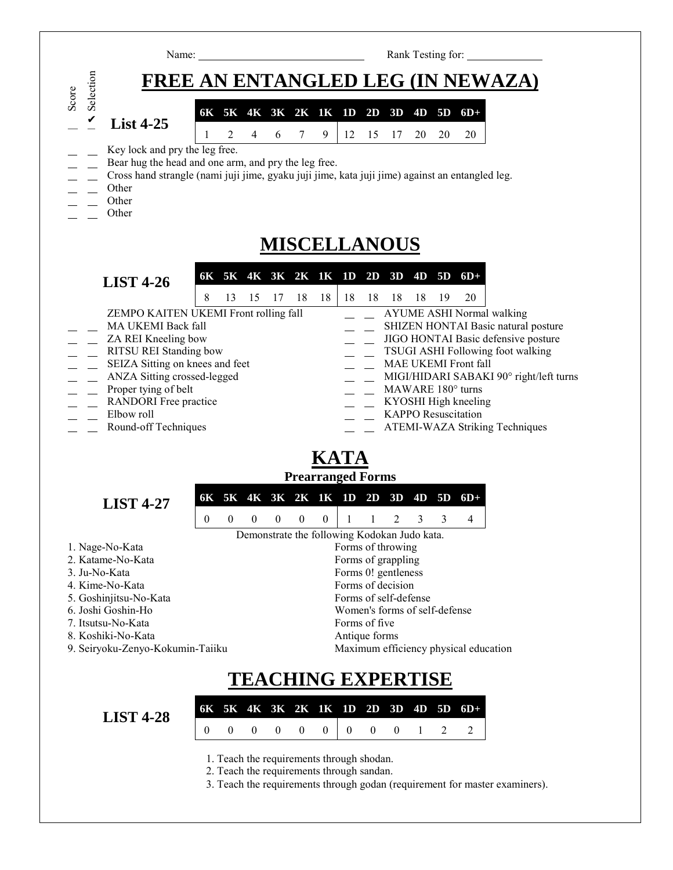|                                                                                                                                                                                                          | Rank Testing for:<br>Name:                                                                                                                                                                                                                                                                            |
|----------------------------------------------------------------------------------------------------------------------------------------------------------------------------------------------------------|-------------------------------------------------------------------------------------------------------------------------------------------------------------------------------------------------------------------------------------------------------------------------------------------------------|
| Selection                                                                                                                                                                                                | FREE AN ENTANGLED LEG (IN NEWAZA)                                                                                                                                                                                                                                                                     |
| Score<br>$\checkmark$<br>List $4-25$                                                                                                                                                                     | 6K 5K 4K 3K 2K 1K 1D 2D 3D 4D 5D<br>$6D+$                                                                                                                                                                                                                                                             |
|                                                                                                                                                                                                          | $\tau$<br>2<br>$\overline{4}$<br>6<br>9<br>12<br>15<br>17<br>20<br>20<br>20                                                                                                                                                                                                                           |
| Key lock and pry the leg free.<br>Other<br>Other<br>Other                                                                                                                                                | Bear hug the head and one arm, and pry the leg free.<br>Cross hand strangle (nami juji jime, gyaku juji jime, kata juji jime) against an entangled leg.                                                                                                                                               |
|                                                                                                                                                                                                          | <b>MISCELLANOUS</b>                                                                                                                                                                                                                                                                                   |
| <b>LIST 4-26</b><br>MA UKEMI Back fall<br>ZA REI Kneeling bow<br>RITSU REI Standing bow                                                                                                                  | 6K 5K 4K 3K 2K 1K 1D 2D 3D 4D 5D 6D+<br>8<br>18<br>18 18<br>13<br>15 17<br>18<br>18<br>18<br>19<br>20<br>ZEMPO KAITEN UKEMI Front rolling fall<br><b>AYUME ASHI Normal walking</b><br>SHIZEN HONTAI Basic natural posture<br>JIGO HONTAI Basic defensive posture<br>TSUGI ASHI Following foot walking |
| SEIZA Sitting on knees and feet<br>ANZA Sitting crossed-legged                                                                                                                                           | MAE UKEMI Front fall<br>MIGI/HIDARI SABAKI 90° right/left turns                                                                                                                                                                                                                                       |
| Proper tying of belt<br><b>RANDORI</b> Free practice<br>Elbow roll<br>Round-off Techniques                                                                                                               | MAWARE 180° turns<br>KYOSHI High kneeling<br><b>KAPPO</b> Resuscitation<br><b>ATEMI-WAZA Striking Techniques</b>                                                                                                                                                                                      |
|                                                                                                                                                                                                          | KATA                                                                                                                                                                                                                                                                                                  |
| <b>LIST 4-27</b>                                                                                                                                                                                         | <b>Prearranged Forms</b><br>6K 5K 4K 3K 2K 1K 1D 2D 3D 4D 5D 6D+                                                                                                                                                                                                                                      |
|                                                                                                                                                                                                          | $\mathbf{0}$<br>$\boldsymbol{0}$<br>$\boldsymbol{0}$<br>$\mathbf{0}$<br>2<br>3<br>3<br>4<br>$\boldsymbol{0}$<br>$\boldsymbol{0}$<br>$\mathbf{1}$<br>$\mathbf{1}$                                                                                                                                      |
| 1. Nage-No-Kata<br>2. Katame-No-Kata<br>3. Ju-No-Kata<br>4. Kime-No-Kata<br>5. Goshinjitsu-No-Kata<br>6. Joshi Goshin-Ho<br>7. Itsutsu-No-Kata<br>8. Koshiki-No-Kata<br>9. Seiryoku-Zenyo-Kokumin-Taiiku | Demonstrate the following Kodokan Judo kata.<br>Forms of throwing<br>Forms of grappling<br>Forms 0! gentleness<br>Forms of decision<br>Forms of self-defense<br>Women's forms of self-defense<br>Forms of five<br>Antique forms<br>Maximum efficiency physical education                              |
|                                                                                                                                                                                                          | <b>TEACHING EXPERTISE</b>                                                                                                                                                                                                                                                                             |
| <b>LIST 4-28</b>                                                                                                                                                                                         | 5K 4K 3K 2K 1K 1D<br>2D<br>3D<br>4D<br>5 <sub>D</sub><br>$6D+$<br>6K                                                                                                                                                                                                                                  |

3. Teach the requirements through godan (requirement for master examiners).